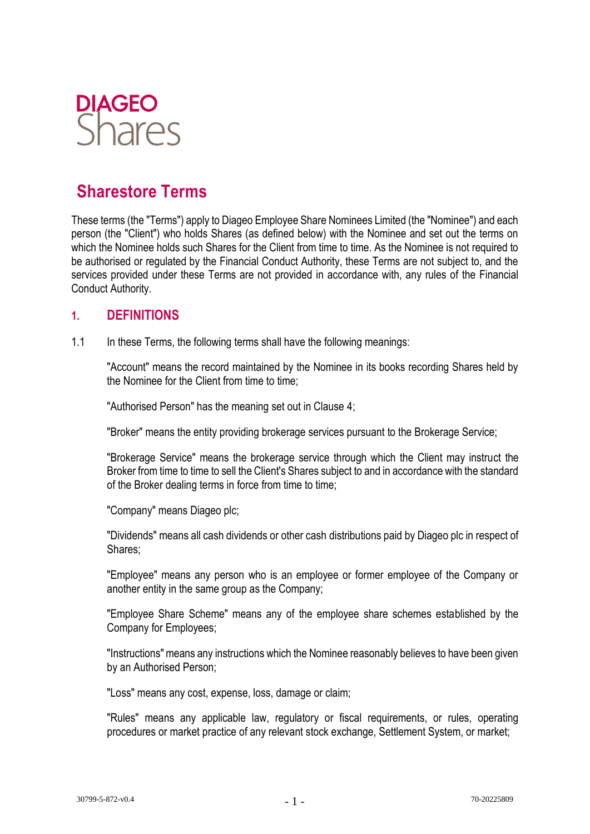

# **Sharestore Terms**

These terms (the "Terms") apply to Diageo Employee Share Nominees Limited (the "Nominee") and each person (the "Client") who holds Shares (as defined below) with the Nominee and set out the terms on which the Nominee holds such Shares for the Client from time to time. As the Nominee is not required to be authorised or regulated by the Financial Conduct Authority, these Terms are not subject to, and the services provided under these Terms are not provided in accordance with, any rules of the Financial Conduct Authority.

#### **1. DEFINITIONS**

1.1 In these Terms, the following terms shall have the following meanings:

"Account" means the record maintained by the Nominee in its books recording Shares held by the Nominee for the Client from time to time;

"Authorised Person" has the meaning set out in Clause 4;

"Broker" means the entity providing brokerage services pursuant to the Brokerage Service;

"Brokerage Service" means the brokerage service through which the Client may instruct the Broker from time to time to sell the Client's Shares subject to and in accordance with the standard of the Broker dealing terms in force from time to time;

"Company" means Diageo plc;

"Dividends" means all cash dividends or other cash distributions paid by Diageo plc in respect of Shares;

"Employee" means any person who is an employee or former employee of the Company or another entity in the same group as the Company;

"Employee Share Scheme" means any of the employee share schemes established by the Company for Employees;

"Instructions" means any instructions which the Nominee reasonably believes to have been given by an Authorised Person;

"Loss" means any cost, expense, loss, damage or claim;

"Rules" means any applicable law, regulatory or fiscal requirements, or rules, operating procedures or market practice of any relevant stock exchange, Settlement System, or market;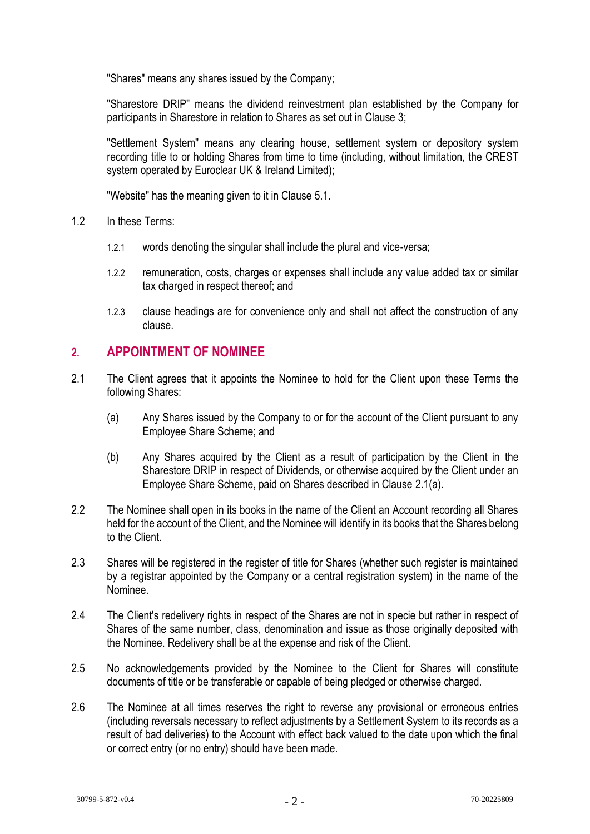"Shares" means any shares issued by the Company;

"Sharestore DRIP" means the dividend reinvestment plan established by the Company for participants in Sharestore in relation to Shares as set out in Clause 3;

"Settlement System" means any clearing house, settlement system or depository system recording title to or holding Shares from time to time (including, without limitation, the CREST system operated by Euroclear UK & Ireland Limited);

"Website" has the meaning given to it in Clause 5.1.

- 1.2 In these Terms:
	- 1.2.1 words denoting the singular shall include the plural and vice-versa;
	- 1.2.2 remuneration, costs, charges or expenses shall include any value added tax or similar tax charged in respect thereof; and
	- 1.2.3 clause headings are for convenience only and shall not affect the construction of any clause.

#### **2. APPOINTMENT OF NOMINEE**

- <span id="page-1-0"></span>2.1 The Client agrees that it appoints the Nominee to hold for the Client upon these Terms the following Shares:
	- (a) Any Shares issued by the Company to or for the account of the Client pursuant to any Employee Share Scheme; and
	- (b) Any Shares acquired by the Client as a result of participation by the Client in the Sharestore DRIP in respect of Dividends, or otherwise acquired by the Client under an Employee Share Scheme, paid on Shares described in Clause [2.1\(a\).](#page-1-0)
- 2.2 The Nominee shall open in its books in the name of the Client an Account recording all Shares held for the account of the Client, and the Nominee will identify in its books that the Shares belong to the Client.
- 2.3 Shares will be registered in the register of title for Shares (whether such register is maintained by a registrar appointed by the Company or a central registration system) in the name of the Nominee.
- 2.4 The Client's redelivery rights in respect of the Shares are not in specie but rather in respect of Shares of the same number, class, denomination and issue as those originally deposited with the Nominee. Redelivery shall be at the expense and risk of the Client.
- 2.5 No acknowledgements provided by the Nominee to the Client for Shares will constitute documents of title or be transferable or capable of being pledged or otherwise charged.
- 2.6 The Nominee at all times reserves the right to reverse any provisional or erroneous entries (including reversals necessary to reflect adjustments by a Settlement System to its records as a result of bad deliveries) to the Account with effect back valued to the date upon which the final or correct entry (or no entry) should have been made.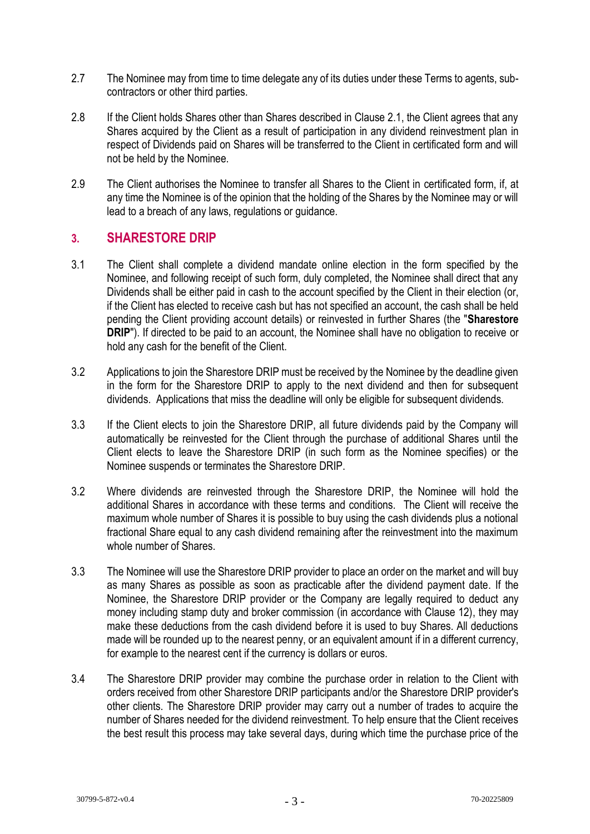- 2.7 The Nominee may from time to time delegate any of its duties under these Terms to agents, subcontractors or other third parties.
- 2.8 If the Client holds Shares other than Shares described in Clause 2.1, the Client agrees that any Shares acquired by the Client as a result of participation in any dividend reinvestment plan in respect of Dividends paid on Shares will be transferred to the Client in certificated form and will not be held by the Nominee.
- 2.9 The Client authorises the Nominee to transfer all Shares to the Client in certificated form, if, at any time the Nominee is of the opinion that the holding of the Shares by the Nominee may or will lead to a breach of any laws, regulations or guidance.

### **3. SHARESTORE DRIP**

- 3.1 The Client shall complete a dividend mandate online election in the form specified by the Nominee, and following receipt of such form, duly completed, the Nominee shall direct that any Dividends shall be either paid in cash to the account specified by the Client in their election (or, if the Client has elected to receive cash but has not specified an account, the cash shall be held pending the Client providing account details) or reinvested in further Shares (the "**Sharestore DRIP**"). If directed to be paid to an account, the Nominee shall have no obligation to receive or hold any cash for the benefit of the Client.
- 3.2 Applications to join the Sharestore DRIP must be received by the Nominee by the deadline given in the form for the Sharestore DRIP to apply to the next dividend and then for subsequent dividends. Applications that miss the deadline will only be eligible for subsequent dividends.
- 3.3 If the Client elects to join the Sharestore DRIP, all future dividends paid by the Company will automatically be reinvested for the Client through the purchase of additional Shares until the Client elects to leave the Sharestore DRIP (in such form as the Nominee specifies) or the Nominee suspends or terminates the Sharestore DRIP.
- 3.2 Where dividends are reinvested through the Sharestore DRIP, the Nominee will hold the additional Shares in accordance with these terms and conditions. The Client will receive the maximum whole number of Shares it is possible to buy using the cash dividends plus a notional fractional Share equal to any cash dividend remaining after the reinvestment into the maximum whole number of Shares.
- 3.3 The Nominee will use the Sharestore DRIP provider to place an order on the market and will buy as many Shares as possible as soon as practicable after the dividend payment date. If the Nominee, the Sharestore DRIP provider or the Company are legally required to deduct any money including stamp duty and broker commission (in accordance with Clause 12), they may make these deductions from the cash dividend before it is used to buy Shares. All deductions made will be rounded up to the nearest penny, or an equivalent amount if in a different currency, for example to the nearest cent if the currency is dollars or euros.
- 3.4 The Sharestore DRIP provider may combine the purchase order in relation to the Client with orders received from other Sharestore DRIP participants and/or the Sharestore DRIP provider's other clients. The Sharestore DRIP provider may carry out a number of trades to acquire the number of Shares needed for the dividend reinvestment. To help ensure that the Client receives the best result this process may take several days, during which time the purchase price of the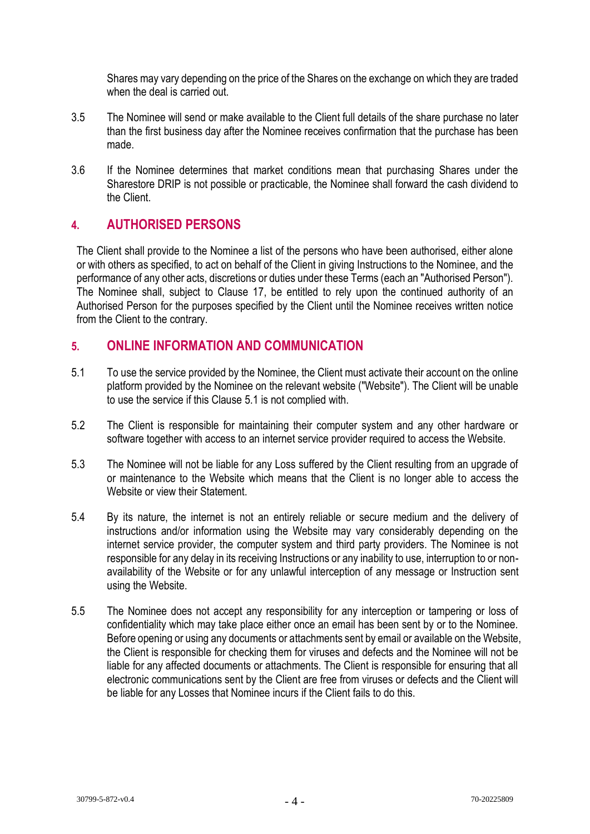Shares may vary depending on the price of the Shares on the exchange on which they are traded when the deal is carried out.

- 3.5 The Nominee will send or make available to the Client full details of the share purchase no later than the first business day after the Nominee receives confirmation that the purchase has been made.
- 3.6 If the Nominee determines that market conditions mean that purchasing Shares under the Sharestore DRIP is not possible or practicable, the Nominee shall forward the cash dividend to the Client.

## **4. AUTHORISED PERSONS**

The Client shall provide to the Nominee a list of the persons who have been authorised, either alone or with others as specified, to act on behalf of the Client in giving Instructions to the Nominee, and the performance of any other acts, discretions or duties under these Terms (each an "Authorised Person"). The Nominee shall, subject to Clause 17, be entitled to rely upon the continued authority of an Authorised Person for the purposes specified by the Client until the Nominee receives written notice from the Client to the contrary.

### **5. ONLINE INFORMATION AND COMMUNICATION**

- 5.1 To use the service provided by the Nominee, the Client must activate their account on the online platform provided by the Nominee on the relevant website ("Website"). The Client will be unable to use the service if this Clause 5.1 is not complied with.
- 5.2 The Client is responsible for maintaining their computer system and any other hardware or software together with access to an internet service provider required to access the Website.
- 5.3 The Nominee will not be liable for any Loss suffered by the Client resulting from an upgrade of or maintenance to the Website which means that the Client is no longer able to access the Website or view their Statement.
- 5.4 By its nature, the internet is not an entirely reliable or secure medium and the delivery of instructions and/or information using the Website may vary considerably depending on the internet service provider, the computer system and third party providers. The Nominee is not responsible for any delay in its receiving Instructions or any inability to use, interruption to or nonavailability of the Website or for any unlawful interception of any message or Instruction sent using the Website.
- 5.5 The Nominee does not accept any responsibility for any interception or tampering or loss of confidentiality which may take place either once an email has been sent by or to the Nominee. Before opening or using any documents or attachments sent by email or available on the Website, the Client is responsible for checking them for viruses and defects and the Nominee will not be liable for any affected documents or attachments. The Client is responsible for ensuring that all electronic communications sent by the Client are free from viruses or defects and the Client will be liable for any Losses that Nominee incurs if the Client fails to do this.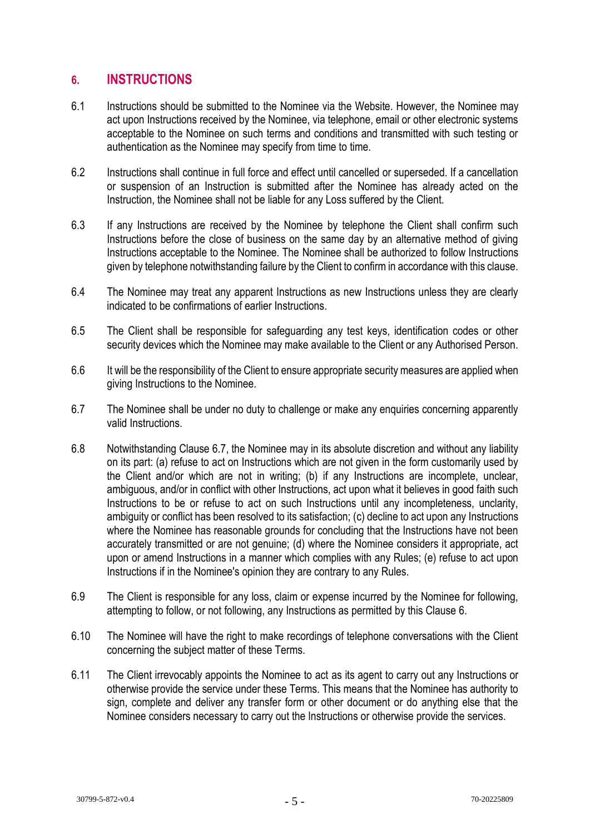## **6. INSTRUCTIONS**

- 6.1 Instructions should be submitted to the Nominee via the Website. However, the Nominee may act upon Instructions received by the Nominee, via telephone, email or other electronic systems acceptable to the Nominee on such terms and conditions and transmitted with such testing or authentication as the Nominee may specify from time to time.
- 6.2 Instructions shall continue in full force and effect until cancelled or superseded. If a cancellation or suspension of an Instruction is submitted after the Nominee has already acted on the Instruction, the Nominee shall not be liable for any Loss suffered by the Client.
- 6.3 If any Instructions are received by the Nominee by telephone the Client shall confirm such Instructions before the close of business on the same day by an alternative method of giving Instructions acceptable to the Nominee. The Nominee shall be authorized to follow Instructions given by telephone notwithstanding failure by the Client to confirm in accordance with this clause.
- 6.4 The Nominee may treat any apparent Instructions as new Instructions unless they are clearly indicated to be confirmations of earlier Instructions.
- 6.5 The Client shall be responsible for safeguarding any test keys, identification codes or other security devices which the Nominee may make available to the Client or any Authorised Person.
- 6.6 It will be the responsibility of the Client to ensure appropriate security measures are applied when giving Instructions to the Nominee.
- 6.7 The Nominee shall be under no duty to challenge or make any enquiries concerning apparently valid Instructions.
- 6.8 Notwithstanding Clause 6.7, the Nominee may in its absolute discretion and without any liability on its part: (a) refuse to act on Instructions which are not given in the form customarily used by the Client and/or which are not in writing; (b) if any Instructions are incomplete, unclear, ambiguous, and/or in conflict with other Instructions, act upon what it believes in good faith such Instructions to be or refuse to act on such Instructions until any incompleteness, unclarity, ambiguity or conflict has been resolved to its satisfaction; (c) decline to act upon any Instructions where the Nominee has reasonable grounds for concluding that the Instructions have not been accurately transmitted or are not genuine; (d) where the Nominee considers it appropriate, act upon or amend Instructions in a manner which complies with any Rules; (e) refuse to act upon Instructions if in the Nominee's opinion they are contrary to any Rules.
- 6.9 The Client is responsible for any loss, claim or expense incurred by the Nominee for following, attempting to follow, or not following, any Instructions as permitted by this Clause 6.
- 6.10 The Nominee will have the right to make recordings of telephone conversations with the Client concerning the subject matter of these Terms.
- 6.11 The Client irrevocably appoints the Nominee to act as its agent to carry out any Instructions or otherwise provide the service under these Terms. This means that the Nominee has authority to sign, complete and deliver any transfer form or other document or do anything else that the Nominee considers necessary to carry out the Instructions or otherwise provide the services.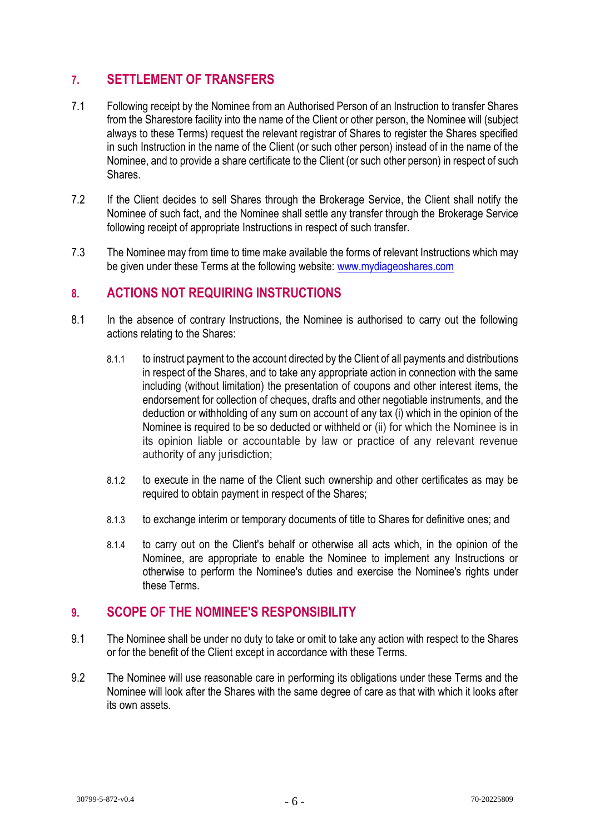## **7. SETTLEMENT OF TRANSFERS**

- 7.1 Following receipt by the Nominee from an Authorised Person of an Instruction to transfer Shares from the Sharestore facility into the name of the Client or other person, the Nominee will (subject always to these Terms) request the relevant registrar of Shares to register the Shares specified in such Instruction in the name of the Client (or such other person) instead of in the name of the Nominee, and to provide a share certificate to the Client (or such other person) in respect of such Shares.
- 7.2 If the Client decides to sell Shares through the Brokerage Service, the Client shall notify the Nominee of such fact, and the Nominee shall settle any transfer through the Brokerage Service following receipt of appropriate Instructions in respect of such transfer.
- 7.3 The Nominee may from time to time make available the forms of relevant Instructions which may be given under these Terms at the following website: [www.mydiageoshares.com](http://www.mydiageoshares.com/)

### **8. ACTIONS NOT REQUIRING INSTRUCTIONS**

- 8.1 In the absence of contrary Instructions, the Nominee is authorised to carry out the following actions relating to the Shares:
	- 8.1.1 to instruct payment to the account directed by the Client of all payments and distributions in respect of the Shares, and to take any appropriate action in connection with the same including (without limitation) the presentation of coupons and other interest items, the endorsement for collection of cheques, drafts and other negotiable instruments, and the deduction or withholding of any sum on account of any tax (i) which in the opinion of the Nominee is required to be so deducted or withheld or (ii) for which the Nominee is in its opinion liable or accountable by law or practice of any relevant revenue authority of any jurisdiction;
	- 8.1.2 to execute in the name of the Client such ownership and other certificates as may be required to obtain payment in respect of the Shares;
	- 8.1.3 to exchange interim or temporary documents of title to Shares for definitive ones; and
	- 8.1.4 to carry out on the Client's behalf or otherwise all acts which, in the opinion of the Nominee, are appropriate to enable the Nominee to implement any Instructions or otherwise to perform the Nominee's duties and exercise the Nominee's rights under these Terms.

#### **9. SCOPE OF THE NOMINEE'S RESPONSIBILITY**

- 9.1 The Nominee shall be under no duty to take or omit to take any action with respect to the Shares or for the benefit of the Client except in accordance with these Terms.
- 9.2 The Nominee will use reasonable care in performing its obligations under these Terms and the Nominee will look after the Shares with the same degree of care as that with which it looks after its own assets.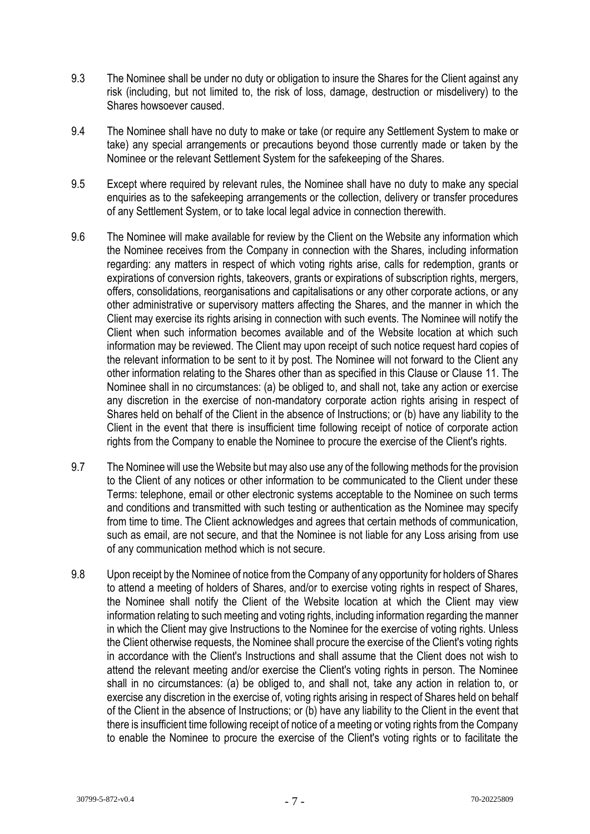- 9.3 The Nominee shall be under no duty or obligation to insure the Shares for the Client against any risk (including, but not limited to, the risk of loss, damage, destruction or misdelivery) to the Shares howsoever caused.
- 9.4 The Nominee shall have no duty to make or take (or require any Settlement System to make or take) any special arrangements or precautions beyond those currently made or taken by the Nominee or the relevant Settlement System for the safekeeping of the Shares.
- 9.5 Except where required by relevant rules, the Nominee shall have no duty to make any special enquiries as to the safekeeping arrangements or the collection, delivery or transfer procedures of any Settlement System, or to take local legal advice in connection therewith.
- 9.6 The Nominee will make available for review by the Client on the Website any information which the Nominee receives from the Company in connection with the Shares, including information regarding: any matters in respect of which voting rights arise, calls for redemption, grants or expirations of conversion rights, takeovers, grants or expirations of subscription rights, mergers, offers, consolidations, reorganisations and capitalisations or any other corporate actions, or any other administrative or supervisory matters affecting the Shares, and the manner in which the Client may exercise its rights arising in connection with such events. The Nominee will notify the Client when such information becomes available and of the Website location at which such information may be reviewed. The Client may upon receipt of such notice request hard copies of the relevant information to be sent to it by post. The Nominee will not forward to the Client any other information relating to the Shares other than as specified in this Clause or Clause 11. The Nominee shall in no circumstances: (a) be obliged to, and shall not, take any action or exercise any discretion in the exercise of non-mandatory corporate action rights arising in respect of Shares held on behalf of the Client in the absence of Instructions; or (b) have any liability to the Client in the event that there is insufficient time following receipt of notice of corporate action rights from the Company to enable the Nominee to procure the exercise of the Client's rights.
- 9.7 The Nominee will use the Website but may also use any of the following methods for the provision to the Client of any notices or other information to be communicated to the Client under these Terms: telephone, email or other electronic systems acceptable to the Nominee on such terms and conditions and transmitted with such testing or authentication as the Nominee may specify from time to time. The Client acknowledges and agrees that certain methods of communication, such as email, are not secure, and that the Nominee is not liable for any Loss arising from use of any communication method which is not secure.
- 9.8 Upon receipt by the Nominee of notice from the Company of any opportunity for holders of Shares to attend a meeting of holders of Shares, and/or to exercise voting rights in respect of Shares, the Nominee shall notify the Client of the Website location at which the Client may view information relating to such meeting and voting rights, including information regarding the manner in which the Client may give Instructions to the Nominee for the exercise of voting rights. Unless the Client otherwise requests, the Nominee shall procure the exercise of the Client's voting rights in accordance with the Client's Instructions and shall assume that the Client does not wish to attend the relevant meeting and/or exercise the Client's voting rights in person. The Nominee shall in no circumstances: (a) be obliged to, and shall not, take any action in relation to, or exercise any discretion in the exercise of, voting rights arising in respect of Shares held on behalf of the Client in the absence of Instructions; or (b) have any liability to the Client in the event that there is insufficient time following receipt of notice of a meeting or voting rights from the Company to enable the Nominee to procure the exercise of the Client's voting rights or to facilitate the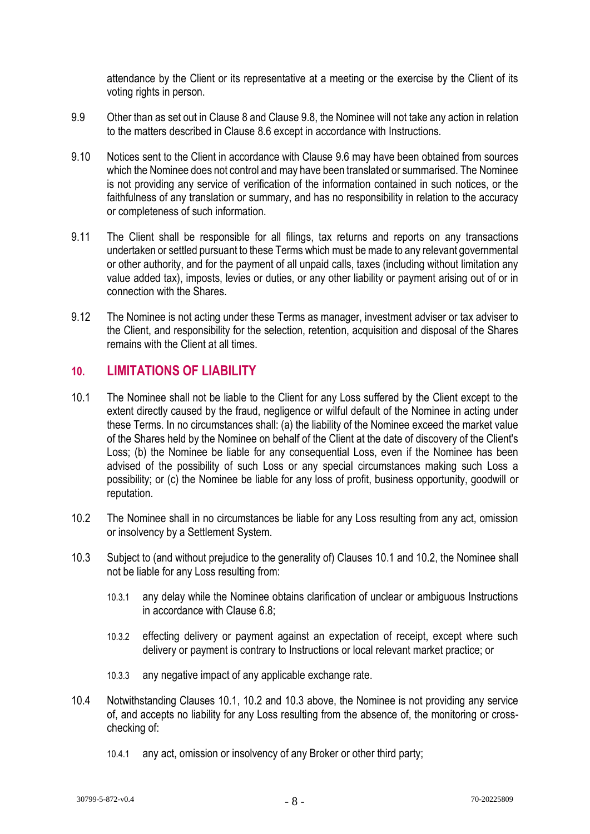attendance by the Client or its representative at a meeting or the exercise by the Client of its voting rights in person.

- 9.9 Other than as set out in Clause 8 and Clause 9.8, the Nominee will not take any action in relation to the matters described in Clause 8.6 except in accordance with Instructions.
- 9.10 Notices sent to the Client in accordance with Clause 9.6 may have been obtained from sources which the Nominee does not control and may have been translated or summarised. The Nominee is not providing any service of verification of the information contained in such notices, or the faithfulness of any translation or summary, and has no responsibility in relation to the accuracy or completeness of such information.
- 9.11 The Client shall be responsible for all filings, tax returns and reports on any transactions undertaken or settled pursuant to these Terms which must be made to any relevant governmental or other authority, and for the payment of all unpaid calls, taxes (including without limitation any value added tax), imposts, levies or duties, or any other liability or payment arising out of or in connection with the Shares.
- 9.12 The Nominee is not acting under these Terms as manager, investment adviser or tax adviser to the Client, and responsibility for the selection, retention, acquisition and disposal of the Shares remains with the Client at all times.

#### **10. LIMITATIONS OF LIABILITY**

- 10.1 The Nominee shall not be liable to the Client for any Loss suffered by the Client except to the extent directly caused by the fraud, negligence or wilful default of the Nominee in acting under these Terms. In no circumstances shall: (a) the liability of the Nominee exceed the market value of the Shares held by the Nominee on behalf of the Client at the date of discovery of the Client's Loss; (b) the Nominee be liable for any consequential Loss, even if the Nominee has been advised of the possibility of such Loss or any special circumstances making such Loss a possibility; or (c) the Nominee be liable for any loss of profit, business opportunity, goodwill or reputation.
- 10.2 The Nominee shall in no circumstances be liable for any Loss resulting from any act, omission or insolvency by a Settlement System.
- 10.3 Subject to (and without prejudice to the generality of) Clauses 10.1 and 10.2, the Nominee shall not be liable for any Loss resulting from:
	- 10.3.1 any delay while the Nominee obtains clarification of unclear or ambiguous Instructions in accordance with Clause 6.8;
	- 10.3.2 effecting delivery or payment against an expectation of receipt, except where such delivery or payment is contrary to Instructions or local relevant market practice; or
	- 10.3.3 any negative impact of any applicable exchange rate.
- 10.4 Notwithstanding Clauses 10.1, 10.2 and 10.3 above, the Nominee is not providing any service of, and accepts no liability for any Loss resulting from the absence of, the monitoring or crosschecking of:
	- 10.4.1 any act, omission or insolvency of any Broker or other third party;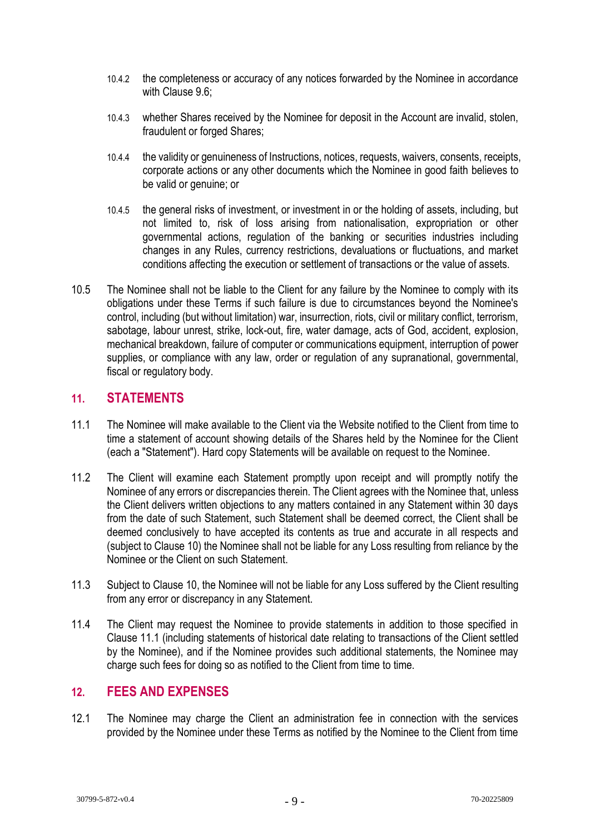- 10.4.2 the completeness or accuracy of any notices forwarded by the Nominee in accordance with Clause 9.6;
- 10.4.3 whether Shares received by the Nominee for deposit in the Account are invalid, stolen, fraudulent or forged Shares;
- 10.4.4 the validity or genuineness of Instructions, notices, requests, waivers, consents, receipts, corporate actions or any other documents which the Nominee in good faith believes to be valid or genuine; or
- 10.4.5 the general risks of investment, or investment in or the holding of assets, including, but not limited to, risk of loss arising from nationalisation, expropriation or other governmental actions, regulation of the banking or securities industries including changes in any Rules, currency restrictions, devaluations or fluctuations, and market conditions affecting the execution or settlement of transactions or the value of assets.
- 10.5 The Nominee shall not be liable to the Client for any failure by the Nominee to comply with its obligations under these Terms if such failure is due to circumstances beyond the Nominee's control, including (but without limitation) war, insurrection, riots, civil or military conflict, terrorism, sabotage, labour unrest, strike, lock-out, fire, water damage, acts of God, accident, explosion, mechanical breakdown, failure of computer or communications equipment, interruption of power supplies, or compliance with any law, order or regulation of any supranational, governmental, fiscal or regulatory body.

#### **11. STATEMENTS**

- 11.1 The Nominee will make available to the Client via the Website notified to the Client from time to time a statement of account showing details of the Shares held by the Nominee for the Client (each a "Statement"). Hard copy Statements will be available on request to the Nominee.
- 11.2 The Client will examine each Statement promptly upon receipt and will promptly notify the Nominee of any errors or discrepancies therein. The Client agrees with the Nominee that, unless the Client delivers written objections to any matters contained in any Statement within 30 days from the date of such Statement, such Statement shall be deemed correct, the Client shall be deemed conclusively to have accepted its contents as true and accurate in all respects and (subject to Clause 10) the Nominee shall not be liable for any Loss resulting from reliance by the Nominee or the Client on such Statement.
- 11.3 Subject to Clause 10, the Nominee will not be liable for any Loss suffered by the Client resulting from any error or discrepancy in any Statement.
- 11.4 The Client may request the Nominee to provide statements in addition to those specified in Clause 11.1 (including statements of historical date relating to transactions of the Client settled by the Nominee), and if the Nominee provides such additional statements, the Nominee may charge such fees for doing so as notified to the Client from time to time.

#### **12. FEES AND EXPENSES**

12.1 The Nominee may charge the Client an administration fee in connection with the services provided by the Nominee under these Terms as notified by the Nominee to the Client from time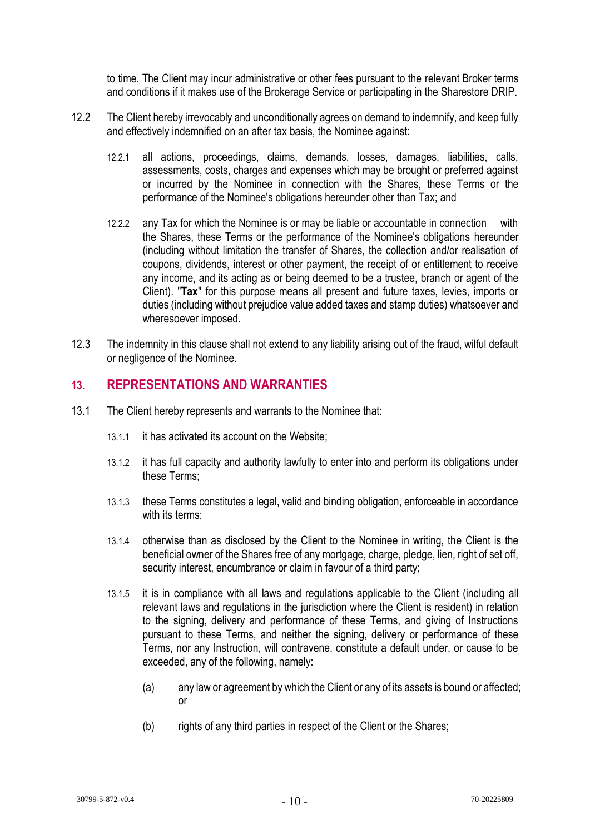to time. The Client may incur administrative or other fees pursuant to the relevant Broker terms and conditions if it makes use of the Brokerage Service or participating in the Sharestore DRIP.

- 12.2 The Client hereby irrevocably and unconditionally agrees on demand to indemnify, and keep fully and effectively indemnified on an after tax basis, the Nominee against:
	- 12.2.1 all actions, proceedings, claims, demands, losses, damages, liabilities, calls, assessments, costs, charges and expenses which may be brought or preferred against or incurred by the Nominee in connection with the Shares, these Terms or the performance of the Nominee's obligations hereunder other than Tax; and
	- 12.2.2 any Tax for which the Nominee is or may be liable or accountable in connection with the Shares, these Terms or the performance of the Nominee's obligations hereunder (including without limitation the transfer of Shares, the collection and/or realisation of coupons, dividends, interest or other payment, the receipt of or entitlement to receive any income, and its acting as or being deemed to be a trustee, branch or agent of the Client). "**Tax**" for this purpose means all present and future taxes, levies, imports or duties (including without prejudice value added taxes and stamp duties) whatsoever and wheresoever imposed.
- 12.3 The indemnity in this clause shall not extend to any liability arising out of the fraud, wilful default or negligence of the Nominee.

#### **13. REPRESENTATIONS AND WARRANTIES**

- 13.1 The Client hereby represents and warrants to the Nominee that:
	- 13.1.1 it has activated its account on the Website;
	- 13.1.2 it has full capacity and authority lawfully to enter into and perform its obligations under these Terms;
	- 13.1.3 these Terms constitutes a legal, valid and binding obligation, enforceable in accordance with its terms:
	- 13.1.4 otherwise than as disclosed by the Client to the Nominee in writing, the Client is the beneficial owner of the Shares free of any mortgage, charge, pledge, lien, right of set off, security interest, encumbrance or claim in favour of a third party;
	- 13.1.5 it is in compliance with all laws and regulations applicable to the Client (including all relevant laws and regulations in the jurisdiction where the Client is resident) in relation to the signing, delivery and performance of these Terms, and giving of Instructions pursuant to these Terms, and neither the signing, delivery or performance of these Terms, nor any Instruction, will contravene, constitute a default under, or cause to be exceeded, any of the following, namely:
		- (a) any law or agreement by which the Client or any of its assets is bound or affected; or
		- (b) rights of any third parties in respect of the Client or the Shares;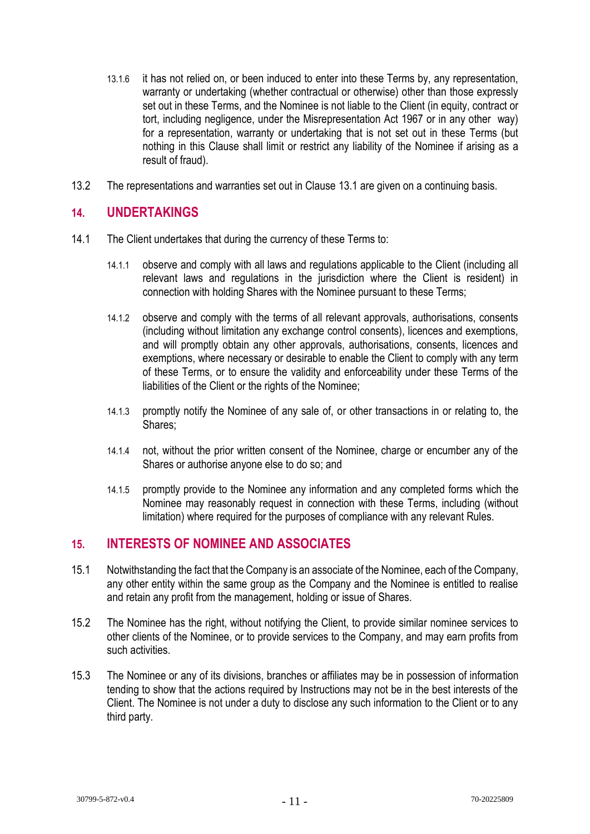- 13.1.6 it has not relied on, or been induced to enter into these Terms by, any representation, warranty or undertaking (whether contractual or otherwise) other than those expressly set out in these Terms, and the Nominee is not liable to the Client (in equity, contract or tort, including negligence, under the Misrepresentation Act 1967 or in any other way) for a representation, warranty or undertaking that is not set out in these Terms (but nothing in this Clause shall limit or restrict any liability of the Nominee if arising as a result of fraud).
- 13.2 The representations and warranties set out in Clause 13.1 are given on a continuing basis.

#### **14. UNDERTAKINGS**

- 14.1 The Client undertakes that during the currency of these Terms to:
	- 14.1.1 observe and comply with all laws and regulations applicable to the Client (including all relevant laws and regulations in the jurisdiction where the Client is resident) in connection with holding Shares with the Nominee pursuant to these Terms;
	- 14.1.2 observe and comply with the terms of all relevant approvals, authorisations, consents (including without limitation any exchange control consents), licences and exemptions, and will promptly obtain any other approvals, authorisations, consents, licences and exemptions, where necessary or desirable to enable the Client to comply with any term of these Terms, or to ensure the validity and enforceability under these Terms of the liabilities of the Client or the rights of the Nominee;
	- 14.1.3 promptly notify the Nominee of any sale of, or other transactions in or relating to, the Shares;
	- 14.1.4 not, without the prior written consent of the Nominee, charge or encumber any of the Shares or authorise anyone else to do so; and
	- 14.1.5 promptly provide to the Nominee any information and any completed forms which the Nominee may reasonably request in connection with these Terms, including (without limitation) where required for the purposes of compliance with any relevant Rules.

#### **15. INTERESTS OF NOMINEE AND ASSOCIATES**

- 15.1 Notwithstanding the fact that the Company is an associate of the Nominee, each of the Company, any other entity within the same group as the Company and the Nominee is entitled to realise and retain any profit from the management, holding or issue of Shares.
- 15.2 The Nominee has the right, without notifying the Client, to provide similar nominee services to other clients of the Nominee, or to provide services to the Company, and may earn profits from such activities.
- 15.3 The Nominee or any of its divisions, branches or affiliates may be in possession of information tending to show that the actions required by Instructions may not be in the best interests of the Client. The Nominee is not under a duty to disclose any such information to the Client or to any third party.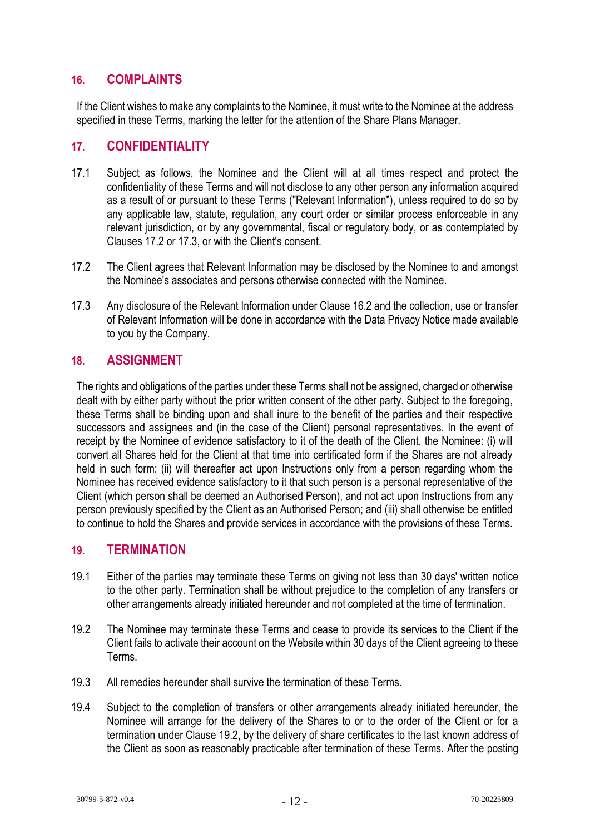### **16. COMPLAINTS**

If the Client wishes to make any complaints to the Nominee, it must write to the Nominee at the address specified in these Terms, marking the letter for the attention of the Share Plans Manager.

#### **17. CONFIDENTIALITY**

- 17.1 Subject as follows, the Nominee and the Client will at all times respect and protect the confidentiality of these Terms and will not disclose to any other person any information acquired as a result of or pursuant to these Terms ("Relevant Information"), unless required to do so by any applicable law, statute, regulation, any court order or similar process enforceable in any relevant jurisdiction, or by any governmental, fiscal or regulatory body, or as contemplated by Clauses 17.2 or 17.3, or with the Client's consent.
- 17.2 The Client agrees that Relevant Information may be disclosed by the Nominee to and amongst the Nominee's associates and persons otherwise connected with the Nominee.
- 17.3 Any disclosure of the Relevant Information under Clause 16.2 and the collection, use or transfer of Relevant Information will be done in accordance with the Data Privacy Notice made available to you by the Company.

#### **18. ASSIGNMENT**

The rights and obligations of the parties under these Terms shall not be assigned, charged or otherwise dealt with by either party without the prior written consent of the other party. Subject to the foregoing, these Terms shall be binding upon and shall inure to the benefit of the parties and their respective successors and assignees and (in the case of the Client) personal representatives. In the event of receipt by the Nominee of evidence satisfactory to it of the death of the Client, the Nominee: (i) will convert all Shares held for the Client at that time into certificated form if the Shares are not already held in such form; (ii) will thereafter act upon Instructions only from a person regarding whom the Nominee has received evidence satisfactory to it that such person is a personal representative of the Client (which person shall be deemed an Authorised Person), and not act upon Instructions from any person previously specified by the Client as an Authorised Person; and (iii) shall otherwise be entitled to continue to hold the Shares and provide services in accordance with the provisions of these Terms.

### **19. TERMINATION**

- 19.1 Either of the parties may terminate these Terms on giving not less than 30 days' written notice to the other party. Termination shall be without prejudice to the completion of any transfers or other arrangements already initiated hereunder and not completed at the time of termination.
- 19.2 The Nominee may terminate these Terms and cease to provide its services to the Client if the Client fails to activate their account on the Website within 30 days of the Client agreeing to these Terms.
- 19.3 All remedies hereunder shall survive the termination of these Terms.
- 19.4 Subject to the completion of transfers or other arrangements already initiated hereunder, the Nominee will arrange for the delivery of the Shares to or to the order of the Client or for a termination under Clause 19.2, by the delivery of share certificates to the last known address of the Client as soon as reasonably practicable after termination of these Terms. After the posting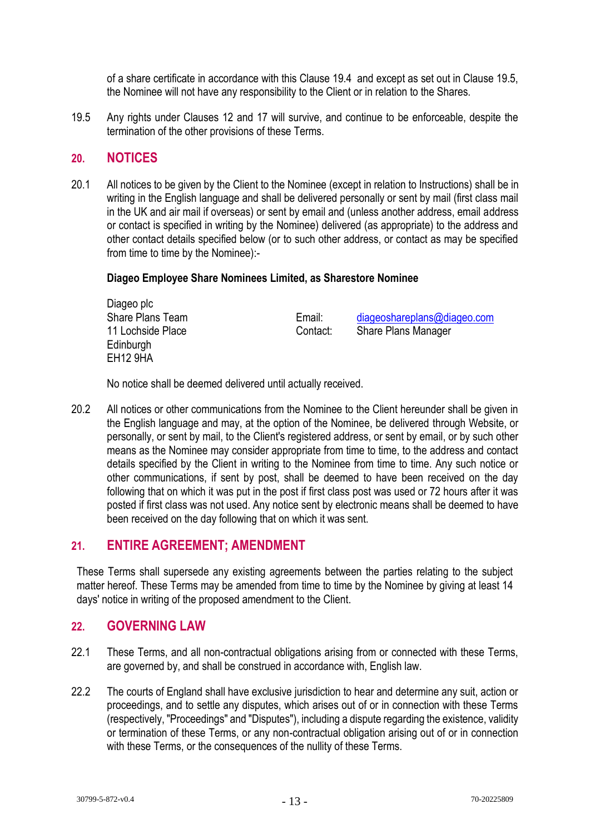of a share certificate in accordance with this Clause 19.4 and except as set out in Clause 19.5, the Nominee will not have any responsibility to the Client or in relation to the Shares.

19.5 Any rights under Clauses 12 and 17 will survive, and continue to be enforceable, despite the termination of the other provisions of these Terms.

#### **20. NOTICES**

20.1 All notices to be given by the Client to the Nominee (except in relation to Instructions) shall be in writing in the English language and shall be delivered personally or sent by mail (first class mail in the UK and air mail if overseas) or sent by email and (unless another address, email address or contact is specified in writing by the Nominee) delivered (as appropriate) to the address and other contact details specified below (or to such other address, or contact as may be specified from time to time by the Nominee):-

#### **Diageo Employee Share Nominees Limited, as Sharestore Nominee**

| Diageo plc        |          |                             |
|-------------------|----------|-----------------------------|
| Share Plans Team  | Email:   | diageoshareplans@diageo.com |
| 11 Lochside Place | Contact: | Share Plans Manager         |
| Edinburgh         |          |                             |
| <b>EH12 9HA</b>   |          |                             |

No notice shall be deemed delivered until actually received.

20.2 All notices or other communications from the Nominee to the Client hereunder shall be given in the English language and may, at the option of the Nominee, be delivered through Website, or personally, or sent by mail, to the Client's registered address, or sent by email, or by such other means as the Nominee may consider appropriate from time to time, to the address and contact details specified by the Client in writing to the Nominee from time to time. Any such notice or other communications, if sent by post, shall be deemed to have been received on the day following that on which it was put in the post if first class post was used or 72 hours after it was posted if first class was not used. Any notice sent by electronic means shall be deemed to have been received on the day following that on which it was sent.

#### **21. ENTIRE AGREEMENT; AMENDMENT**

These Terms shall supersede any existing agreements between the parties relating to the subject matter hereof. These Terms may be amended from time to time by the Nominee by giving at least 14 days' notice in writing of the proposed amendment to the Client.

#### **22. GOVERNING LAW**

- 22.1 These Terms, and all non-contractual obligations arising from or connected with these Terms, are governed by, and shall be construed in accordance with, English law.
- 22.2 The courts of England shall have exclusive jurisdiction to hear and determine any suit. action or proceedings, and to settle any disputes, which arises out of or in connection with these Terms (respectively, "Proceedings" and "Disputes"), including a dispute regarding the existence, validity or termination of these Terms, or any non-contractual obligation arising out of or in connection with these Terms, or the consequences of the nullity of these Terms.